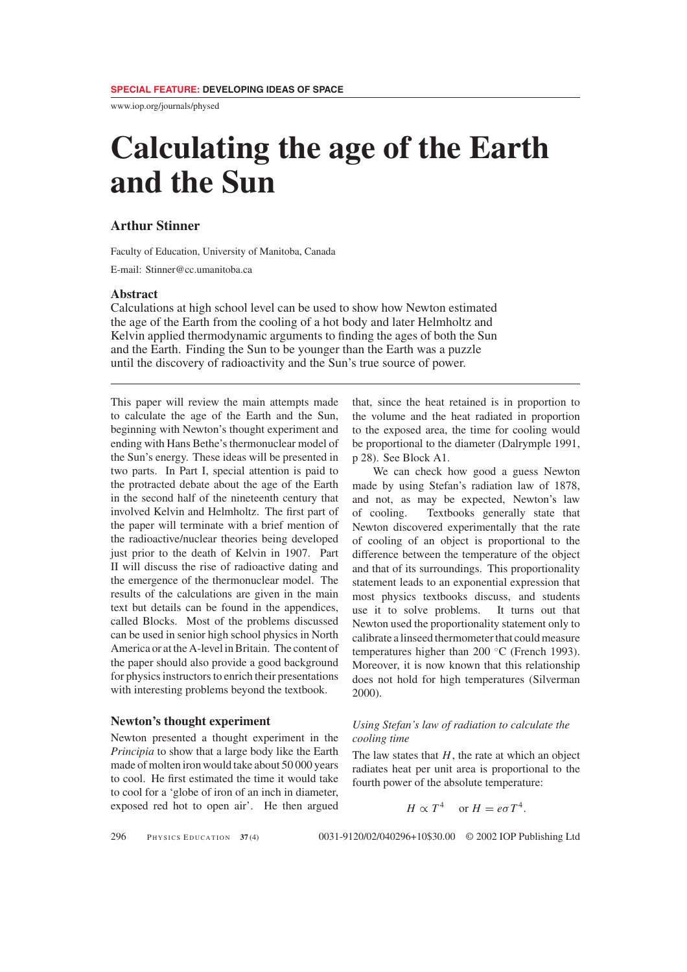www.iop.org/journals/physed

# **Calculating the age of the Earth and the Sun**

# **Arthur Stinner**

Faculty of Education, University of Manitoba, Canada

E-mail: Stinner@cc.umanitoba.ca

# **Abstract**

Calculations at high school level can be used to show how Newton estimated the age of the Earth from the cooling of a hot body and later Helmholtz and Kelvin applied thermodynamic arguments to finding the ages of both the Sun and the Earth. Finding the Sun to be younger than the Earth was a puzzle until the discovery of radioactivity and the Sun's true source of power.

This paper will review the main attempts made to calculate the age of the Earth and the Sun, beginning with Newton's thought experiment and ending with Hans Bethe's thermonuclear model of the Sun's energy. These ideas will be presented in two parts. In Part I, special attention is paid to the protracted debate about the age of the Earth in the second half of the nineteenth century that involved Kelvin and Helmholtz. The first part of the paper will terminate with a brief mention of the radioactive/nuclear theories being developed just prior to the death of Kelvin in 1907. Part II will discuss the rise of radioactive dating and the emergence of the thermonuclear model. The results of the calculations are given in the main text but details can be found in the appendices, called Blocks. Most of the problems discussed can be used in senior high school physics in North America or at the A-level in Britain. The content of the paper should also provide a good background for physics instructors to enrich their presentations with interesting problems beyond the textbook.

## **Newton's thought experiment**

Newton presented a thought experiment in the *Principia* to show that a large body like the Earth made of molten iron would take about 50 000 years to cool. He first estimated the time it would take to cool for a 'globe of iron of an inch in diameter, exposed red hot to open air'. He then argued

that, since the heat retained is in proportion to the volume and the heat radiated in proportion to the exposed area, the time for cooling would be proportional to the diameter (Dalrymple 1991, p 28). See Block A1.

We can check how good a guess Newton made by using Stefan's radiation law of 1878, and not, as may be expected, Newton's law of cooling. Textbooks generally state that Newton discovered experimentally that the rate of cooling of an object is proportional to the difference between the temperature of the object and that of its surroundings. This proportionality statement leads to an exponential expression that most physics textbooks discuss, and students use it to solve problems. It turns out that Newton used the proportionality statement only to calibrate a linseed thermometer that could measure temperatures higher than 200 ◦C (French 1993). Moreover, it is now known that this relationship does not hold for high temperatures (Silverman 2000).

## *Using Stefan's law of radiation to calculate the cooling time*

The law states that  $H$ , the rate at which an object radiates heat per unit area is proportional to the fourth power of the absolute temperature:

$$
H \propto T^4 \quad \text{or } H = e\sigma T^4.
$$

296 PHYSICS EDUCATION **37**(4) 0031-9120/02/040296+10\$30.00 © 2002 IOP Publishing Ltd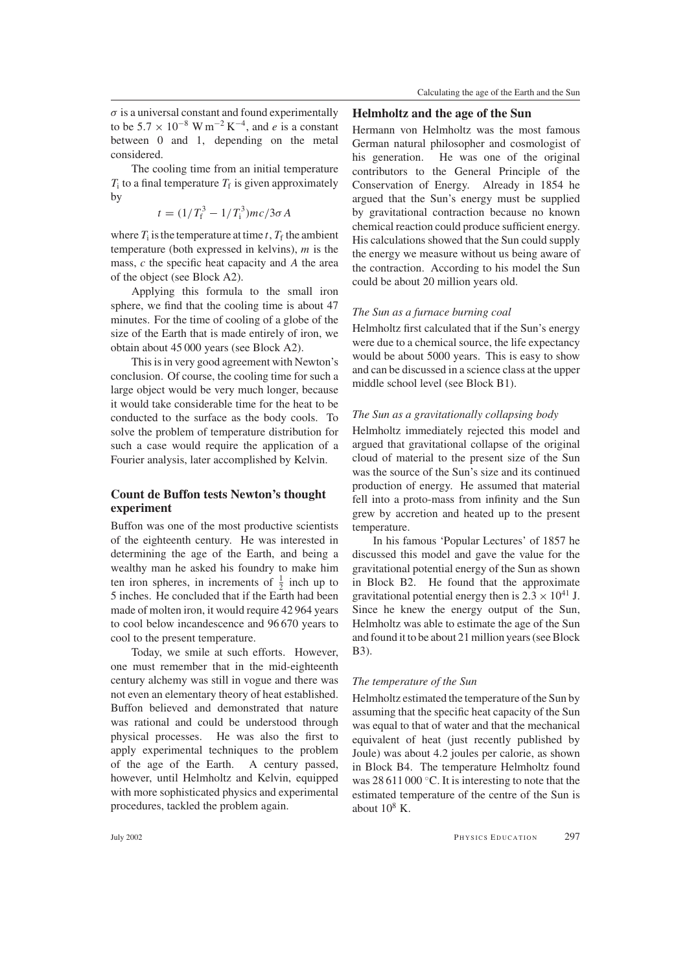$\sigma$  is a universal constant and found experimentally to be  $5.7 \times 10^{-8}$  W m<sup>-2</sup> K<sup>-4</sup>, and *e* is a constant between 0 and 1, depending on the metal considered.

The cooling time from an initial temperature  $T_i$  to a final temperature  $T_f$  is given approximately by

$$
t = (1/T_{\rm f}^3 - 1/T_{\rm i}^3)mc/3\sigma A
$$

where  $T_i$  is the temperature at time *t*,  $T_f$  the ambient temperature (both expressed in kelvins), *m* is the mass, *c* the specific heat capacity and *A* the area of the object (see Block A2).

Applying this formula to the small iron sphere, we find that the cooling time is about 47 minutes. For the time of cooling of a globe of the size of the Earth that is made entirely of iron, we obtain about 45 000 years (see Block A2).

This is in very good agreement with Newton's conclusion. Of course, the cooling time for such a large object would be very much longer, because it would take considerable time for the heat to be conducted to the surface as the body cools. To solve the problem of temperature distribution for such a case would require the application of a Fourier analysis, later accomplished by Kelvin.

# **Count de Buffon tests Newton's thought experiment**

Buffon was one of the most productive scientists of the eighteenth century. He was interested in determining the age of the Earth, and being a wealthy man he asked his foundry to make him ten iron spheres, in increments of  $\frac{1}{2}$  inch up to 5 inches. He concluded that if the Earth had been made of molten iron, it would require 42 964 years to cool below incandescence and 96 670 years to cool to the present temperature.

Today, we smile at such efforts. However, one must remember that in the mid-eighteenth century alchemy was still in vogue and there was not even an elementary theory of heat established. Buffon believed and demonstrated that nature was rational and could be understood through physical processes. He was also the first to apply experimental techniques to the problem of the age of the Earth. A century passed, however, until Helmholtz and Kelvin, equipped with more sophisticated physics and experimental procedures, tackled the problem again.

## **Helmholtz and the age of the Sun**

Hermann von Helmholtz was the most famous German natural philosopher and cosmologist of his generation. He was one of the original contributors to the General Principle of the Conservation of Energy. Already in 1854 he argued that the Sun's energy must be supplied by gravitational contraction because no known chemical reaction could produce sufficient energy. His calculations showed that the Sun could supply the energy we measure without us being aware of the contraction. According to his model the Sun could be about 20 million years old.

#### *The Sun as a furnace burning coal*

Helmholtz first calculated that if the Sun's energy were due to a chemical source, the life expectancy would be about 5000 years. This is easy to show and can be discussed in a science class at the upper middle school level (see Block B1).

#### *The Sun as a gravitationally collapsing body*

Helmholtz immediately rejected this model and argued that gravitational collapse of the original cloud of material to the present size of the Sun was the source of the Sun's size and its continued production of energy. He assumed that material fell into a proto-mass from infinity and the Sun grew by accretion and heated up to the present temperature.

In his famous 'Popular Lectures' of 1857 he discussed this model and gave the value for the gravitational potential energy of the Sun as shown in Block B2. He found that the approximate gravitational potential energy then is  $2.3 \times 10^{41}$  J. Since he knew the energy output of the Sun, Helmholtz was able to estimate the age of the Sun and found it to be about 21 million years (see Block B3).

#### *The temperature of the Sun*

Helmholtz estimated the temperature of the Sun by assuming that the specific heat capacity of the Sun was equal to that of water and that the mechanical equivalent of heat (just recently published by Joule) was about 4.2 joules per calorie, as shown in Block B4. The temperature Helmholtz found was 28 611 000 ◦C. It is interesting to note that the estimated temperature of the centre of the Sun is about  $10^8$  K.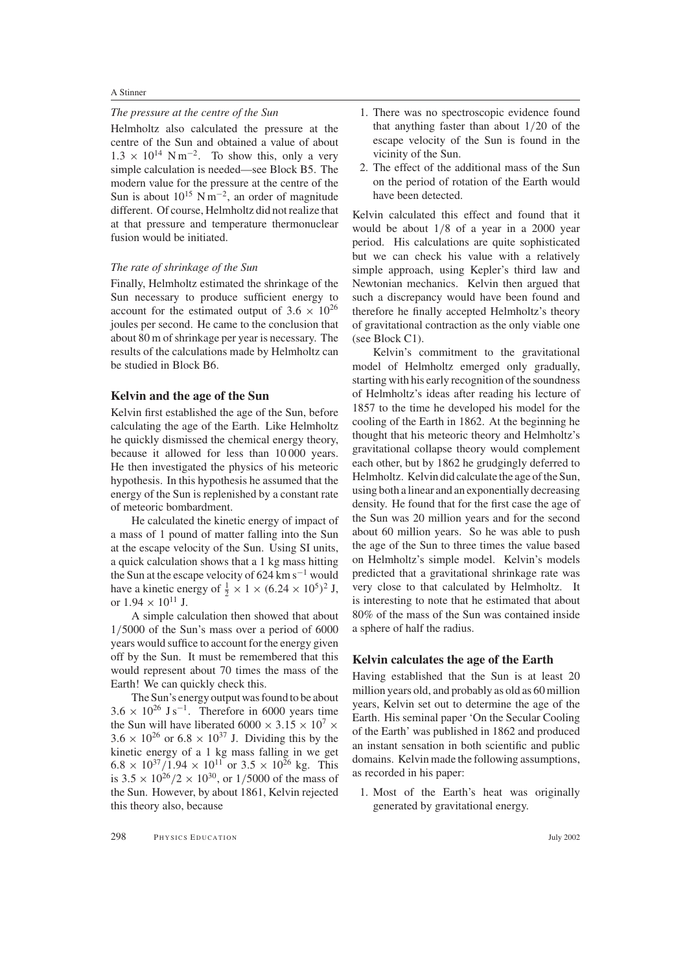## A Stinner

#### *The pressure at the centre of the Sun*

Helmholtz also calculated the pressure at the centre of the Sun and obtained a value of about  $1.3 \times 10^{14}$  N m<sup>-2</sup>. To show this, only a very simple calculation is needed—see Block B5. The modern value for the pressure at the centre of the Sun is about  $10^{15}$  N m<sup>-2</sup>, an order of magnitude different. Of course, Helmholtz did not realize that at that pressure and temperature thermonuclear fusion would be initiated.

## *The rate of shrinkage of the Sun*

Finally, Helmholtz estimated the shrinkage of the Sun necessary to produce sufficient energy to account for the estimated output of  $3.6 \times 10^{26}$ joules per second. He came to the conclusion that about 80 m of shrinkage per year is necessary. The results of the calculations made by Helmholtz can be studied in Block B6.

# **Kelvin and the age of the Sun**

Kelvin first established the age of the Sun, before calculating the age of the Earth. Like Helmholtz he quickly dismissed the chemical energy theory, because it allowed for less than 10 000 years. He then investigated the physics of his meteoric hypothesis. In this hypothesis he assumed that the energy of the Sun is replenished by a constant rate of meteoric bombardment.

He calculated the kinetic energy of impact of a mass of 1 pound of matter falling into the Sun at the escape velocity of the Sun. Using SI units, a quick calculation shows that a 1 kg mass hitting the Sun at the escape velocity of  $624 \text{ km s}^{-1}$  would have a kinetic energy of  $\frac{1}{2} \times 1 \times (6.24 \times 10^5)^2$  J, or  $1.94 \times 10^{11}$  J.

A simple calculation then showed that about 1*/*5000 of the Sun's mass over a period of 6000 years would suffice to account for the energy given off by the Sun. It must be remembered that this would represent about 70 times the mass of the Earth! We can quickly check this.

The Sun's energy output was found to be about  $3.6 \times 10^{26}$  J s<sup>-1</sup>. Therefore in 6000 years time the Sun will have liberated 6000  $\times$  3.15  $\times$  10<sup>7</sup>  $\times$  $3.6 \times 10^{26}$  or  $6.8 \times 10^{37}$  J. Dividing this by the kinetic energy of a 1 kg mass falling in we get  $6.8 \times 10^{37} / 1.94 \times 10^{11}$  or  $3.5 \times 10^{26}$  kg. This is  $3.5 \times 10^{26} / 2 \times 10^{30}$ , or 1/5000 of the mass of the Sun. However, by about 1861, Kelvin rejected this theory also, because

- 1. There was no spectroscopic evidence found that anything faster than about 1*/*20 of the escape velocity of the Sun is found in the vicinity of the Sun.
- 2. The effect of the additional mass of the Sun on the period of rotation of the Earth would have been detected.

Kelvin calculated this effect and found that it would be about 1*/*8 of a year in a 2000 year period. His calculations are quite sophisticated but we can check his value with a relatively simple approach, using Kepler's third law and Newtonian mechanics. Kelvin then argued that such a discrepancy would have been found and therefore he finally accepted Helmholtz's theory of gravitational contraction as the only viable one (see Block C1).

Kelvin's commitment to the gravitational model of Helmholtz emerged only gradually, starting with his early recognition of the soundness of Helmholtz's ideas after reading his lecture of 1857 to the time he developed his model for the cooling of the Earth in 1862. At the beginning he thought that his meteoric theory and Helmholtz's gravitational collapse theory would complement each other, but by 1862 he grudgingly deferred to Helmholtz. Kelvin did calculate the age of the Sun, using both a linear and an exponentially decreasing density. He found that for the first case the age of the Sun was 20 million years and for the second about 60 million years. So he was able to push the age of the Sun to three times the value based on Helmholtz's simple model. Kelvin's models predicted that a gravitational shrinkage rate was very close to that calculated by Helmholtz. It is interesting to note that he estimated that about 80% of the mass of the Sun was contained inside a sphere of half the radius.

#### **Kelvin calculates the age of the Earth**

Having established that the Sun is at least 20 million years old, and probably as old as 60 million years, Kelvin set out to determine the age of the Earth. His seminal paper 'On the Secular Cooling of the Earth' was published in 1862 and produced an instant sensation in both scientific and public domains. Kelvin made the following assumptions, as recorded in his paper:

1. Most of the Earth's heat was originally generated by gravitational energy.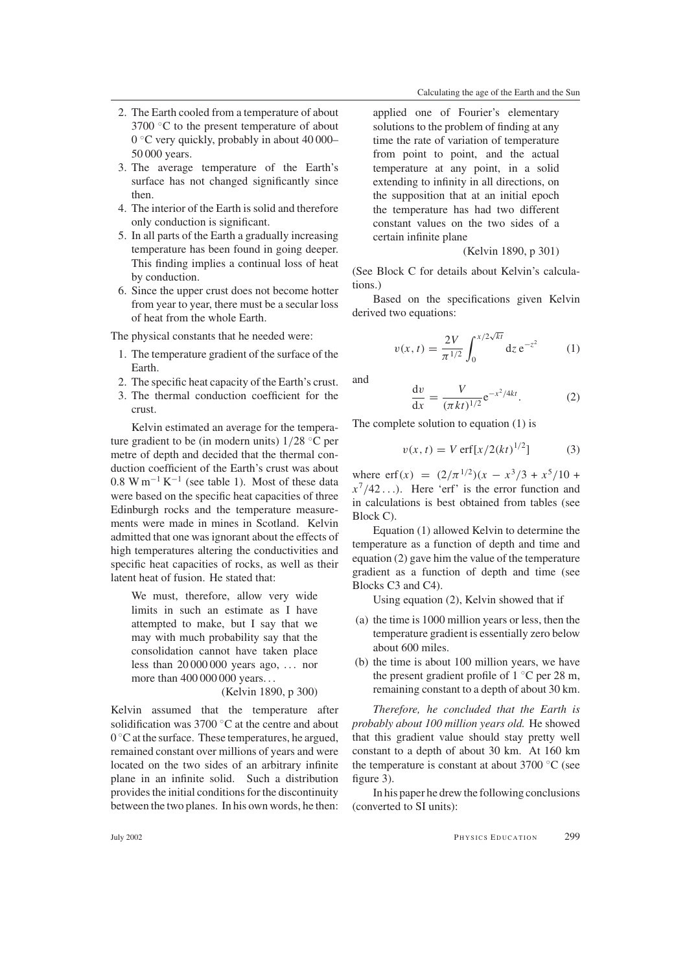- 2. The Earth cooled from a temperature of about  $3700$   $\degree$ C to the present temperature of about 0 ◦C very quickly, probably in about 40 000– 50 000 years.
- 3. The average temperature of the Earth's surface has not changed significantly since then.
- 4. The interior of the Earth is solid and therefore only conduction is significant.
- 5. In all parts of the Earth a gradually increasing temperature has been found in going deeper. This finding implies a continual loss of heat by conduction.
- 6. Since the upper crust does not become hotter from year to year, there must be a secular loss of heat from the whole Earth.

The physical constants that he needed were:

- 1. The temperature gradient of the surface of the Earth.
- 2. The specific heat capacity of the Earth's crust.
- 3. The thermal conduction coefficient for the crust.

Kelvin estimated an average for the temperature gradient to be (in modern units) 1*/*28 ◦C per metre of depth and decided that the thermal conduction coefficient of the Earth's crust was about  $0.8 \text{ W m}^{-1} \text{ K}^{-1}$  (see table 1). Most of these data were based on the specific heat capacities of three Edinburgh rocks and the temperature measurements were made in mines in Scotland. Kelvin admitted that one was ignorant about the effects of high temperatures altering the conductivities and specific heat capacities of rocks, as well as their latent heat of fusion. He stated that:

We must, therefore, allow very wide limits in such an estimate as I have attempted to make, but I say that we may with much probability say that the consolidation cannot have taken place less than  $20000000$  years ago, ... nor more than 400 000 000 years...

(Kelvin 1890, p 300)

Kelvin assumed that the temperature after solidification was 3700 ◦C at the centre and about  $0^{\circ}$ C at the surface. These temperatures, he argued, remained constant over millions of years and were located on the two sides of an arbitrary infinite plane in an infinite solid. Such a distribution provides the initial conditions for the discontinuity between the two planes. In his own words, he then:

applied one of Fourier's elementary solutions to the problem of finding at any time the rate of variation of temperature from point to point, and the actual temperature at any point, in a solid extending to infinity in all directions, on the supposition that at an initial epoch the temperature has had two different constant values on the two sides of a certain infinite plane

(Kelvin 1890, p 301)

(See Block C for details about Kelvin's calculations.)

Based on the specifications given Kelvin derived two equations:

$$
v(x,t) = \frac{2V}{\pi^{1/2}} \int_0^{x/2\sqrt{kt}} dz e^{-z^2}
$$
 (1)

and

$$
\frac{\mathrm{d}v}{\mathrm{d}x} = \frac{V}{(\pi kt)^{1/2}} e^{-x^2/4kt}.
$$
 (2)

The complete solution to equation (1) is

$$
v(x, t) = V \operatorname{erf}[x/2(kt)^{1/2}] \tag{3}
$$

where erf(x) =  $(2/\pi^{1/2})(x - x^3/3 + x^5/10 +$  $x^7/42$ ...). Here 'erf' is the error function and in calculations is best obtained from tables (see Block C).

Equation (1) allowed Kelvin to determine the temperature as a function of depth and time and equation (2) gave him the value of the temperature gradient as a function of depth and time (see Blocks C3 and C4).

Using equation (2), Kelvin showed that if

- (a) the time is 1000 million years or less, then the temperature gradient is essentially zero below about 600 miles.
- (b) the time is about 100 million years, we have the present gradient profile of  $1 \degree$ C per 28 m, remaining constant to a depth of about 30 km.

*Therefore, he concluded that the Earth is probably about 100 million years old.* He showed that this gradient value should stay pretty well constant to a depth of about 30 km. At 160 km the temperature is constant at about  $3700 °C$  (see figure 3).

In his paper he drew the following conclusions (converted to SI units):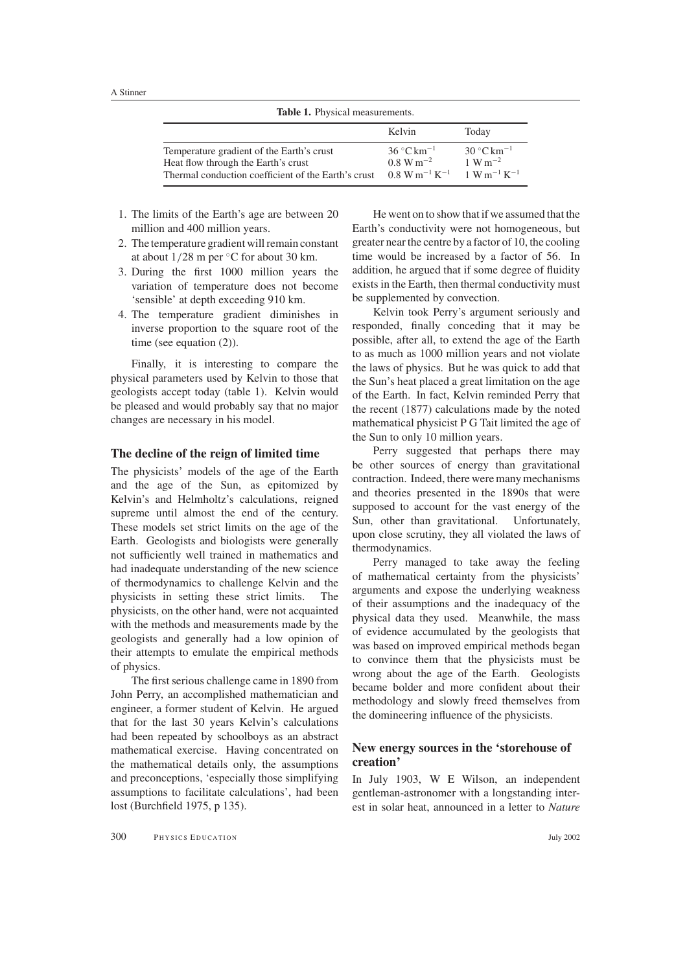**Table 1.** Physical measurements.

|                                                     | Kelvin                                | Today                  |
|-----------------------------------------------------|---------------------------------------|------------------------|
| Temperature gradient of the Earth's crust           | $36^{\circ}$ C km <sup>-1</sup>       | 30 °C km <sup>-1</sup> |
| Heat flow through the Earth's crust                 | $0.8 W m^{-2}$                        | $1 W m^{-2}$           |
| Thermal conduction coefficient of the Earth's crust | $0.8 \text{ W m}^{-1} \text{ K}^{-1}$ | $1 W m^{-1} K^{-1}$    |

- 1. The limits of the Earth's age are between 20 million and 400 million years.
- 2. The temperature gradient will remain constant at about 1*/*28 m per ◦C for about 30 km.
- 3. During the first 1000 million years the variation of temperature does not become 'sensible' at depth exceeding 910 km.
- 4. The temperature gradient diminishes in inverse proportion to the square root of the time (see equation (2)).

Finally, it is interesting to compare the physical parameters used by Kelvin to those that geologists accept today (table 1). Kelvin would be pleased and would probably say that no major changes are necessary in his model.

## **The decline of the reign of limited time**

The physicists' models of the age of the Earth and the age of the Sun, as epitomized by Kelvin's and Helmholtz's calculations, reigned supreme until almost the end of the century. These models set strict limits on the age of the Earth. Geologists and biologists were generally not sufficiently well trained in mathematics and had inadequate understanding of the new science of thermodynamics to challenge Kelvin and the physicists in setting these strict limits. The physicists, on the other hand, were not acquainted with the methods and measurements made by the geologists and generally had a low opinion of their attempts to emulate the empirical methods of physics.

The first serious challenge came in 1890 from John Perry, an accomplished mathematician and engineer, a former student of Kelvin. He argued that for the last 30 years Kelvin's calculations had been repeated by schoolboys as an abstract mathematical exercise. Having concentrated on the mathematical details only, the assumptions and preconceptions, 'especially those simplifying assumptions to facilitate calculations', had been lost (Burchfield 1975, p 135).

He went on to show that if we assumed that the Earth's conductivity were not homogeneous, but greater near the centre by a factor of 10, the cooling time would be increased by a factor of 56. In addition, he argued that if some degree of fluidity exists in the Earth, then thermal conductivity must be supplemented by convection.

Kelvin took Perry's argument seriously and responded, finally conceding that it may be possible, after all, to extend the age of the Earth to as much as 1000 million years and not violate the laws of physics. But he was quick to add that the Sun's heat placed a great limitation on the age of the Earth. In fact, Kelvin reminded Perry that the recent (1877) calculations made by the noted mathematical physicist P G Tait limited the age of the Sun to only 10 million years.

Perry suggested that perhaps there may be other sources of energy than gravitational contraction. Indeed, there were many mechanisms and theories presented in the 1890s that were supposed to account for the vast energy of the Sun, other than gravitational. Unfortunately, upon close scrutiny, they all violated the laws of thermodynamics.

Perry managed to take away the feeling of mathematical certainty from the physicists' arguments and expose the underlying weakness of their assumptions and the inadequacy of the physical data they used. Meanwhile, the mass of evidence accumulated by the geologists that was based on improved empirical methods began to convince them that the physicists must be wrong about the age of the Earth. Geologists became bolder and more confident about their methodology and slowly freed themselves from the domineering influence of the physicists.

# **New energy sources in the 'storehouse of creation'**

In July 1903, W E Wilson, an independent gentleman-astronomer with a longstanding interest in solar heat, announced in a letter to *Nature*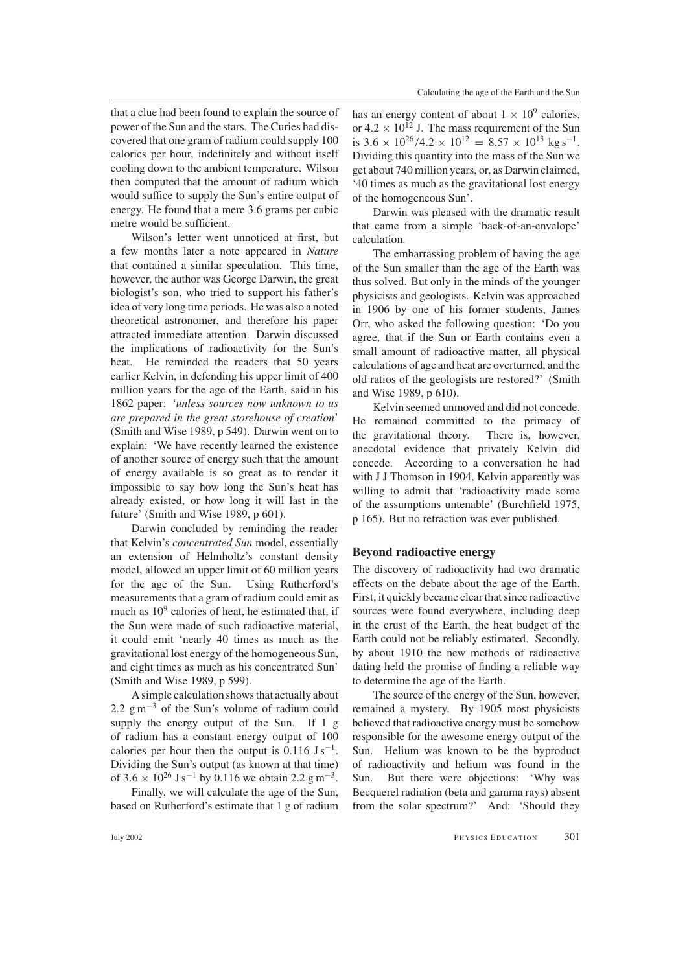that a clue had been found to explain the source of power of the Sun and the stars. The Curies had discovered that one gram of radium could supply 100 calories per hour, indefinitely and without itself cooling down to the ambient temperature. Wilson then computed that the amount of radium which would suffice to supply the Sun's entire output of energy. He found that a mere 3.6 grams per cubic metre would be sufficient.

Wilson's letter went unnoticed at first, but a few months later a note appeared in *Nature* that contained a similar speculation. This time, however, the author was George Darwin, the great biologist's son, who tried to support his father's idea of very long time periods. He was also a noted theoretical astronomer, and therefore his paper attracted immediate attention. Darwin discussed the implications of radioactivity for the Sun's heat. He reminded the readers that 50 years earlier Kelvin, in defending his upper limit of 400 million years for the age of the Earth, said in his 1862 paper: '*unless sources now unknown to us are prepared in the great storehouse of creation*' (Smith and Wise 1989, p 549). Darwin went on to explain: 'We have recently learned the existence of another source of energy such that the amount of energy available is so great as to render it impossible to say how long the Sun's heat has already existed, or how long it will last in the future' (Smith and Wise 1989, p 601).

Darwin concluded by reminding the reader that Kelvin's *concentrated Sun* model, essentially an extension of Helmholtz's constant density model, allowed an upper limit of 60 million years for the age of the Sun. Using Rutherford's measurements that a gram of radium could emit as much as  $10<sup>9</sup>$  calories of heat, he estimated that, if the Sun were made of such radioactive material, it could emit 'nearly 40 times as much as the gravitational lost energy of the homogeneous Sun, and eight times as much as his concentrated Sun' (Smith and Wise 1989, p 599).

A simple calculation shows that actually about 2.2  $\rm{g\,m^{-3}}$  of the Sun's volume of radium could supply the energy output of the Sun. If 1 g of radium has a constant energy output of 100 calories per hour then the output is  $0.116 \text{ J s}^{-1}$ . Dividing the Sun's output (as known at that time) of  $3.6 \times 10^{26}$  J s<sup>-1</sup> by 0.116 we obtain 2.2 g m<sup>-3</sup>.

Finally, we will calculate the age of the Sun, based on Rutherford's estimate that 1 g of radium has an energy content of about  $1 \times 10^9$  calories, or  $4.2 \times 10^{12}$  J. The mass requirement of the Sun is  $3.6 \times 10^{26} / 4.2 \times 10^{12} = 8.57 \times 10^{13} \text{ kg s}^{-1}$ . Dividing this quantity into the mass of the Sun we get about 740 million years, or, as Darwin claimed, '40 times as much as the gravitational lost energy of the homogeneous Sun'.

Darwin was pleased with the dramatic result that came from a simple 'back-of-an-envelope' calculation.

The embarrassing problem of having the age of the Sun smaller than the age of the Earth was thus solved. But only in the minds of the younger physicists and geologists. Kelvin was approached in 1906 by one of his former students, James Orr, who asked the following question: 'Do you agree, that if the Sun or Earth contains even a small amount of radioactive matter, all physical calculations of age and heat are overturned, and the old ratios of the geologists are restored?' (Smith and Wise 1989, p 610).

Kelvin seemed unmoved and did not concede. He remained committed to the primacy of the gravitational theory. There is, however, anecdotal evidence that privately Kelvin did concede. According to a conversation he had with J J Thomson in 1904, Kelvin apparently was willing to admit that 'radioactivity made some of the assumptions untenable' (Burchfield 1975, p 165). But no retraction was ever published.

## **Beyond radioactive energy**

The discovery of radioactivity had two dramatic effects on the debate about the age of the Earth. First, it quickly became clear that since radioactive sources were found everywhere, including deep in the crust of the Earth, the heat budget of the Earth could not be reliably estimated. Secondly, by about 1910 the new methods of radioactive dating held the promise of finding a reliable way to determine the age of the Earth.

The source of the energy of the Sun, however, remained a mystery. By 1905 most physicists believed that radioactive energy must be somehow responsible for the awesome energy output of the Sun. Helium was known to be the byproduct of radioactivity and helium was found in the Sun. But there were objections: 'Why was Becquerel radiation (beta and gamma rays) absent from the solar spectrum?' And: 'Should they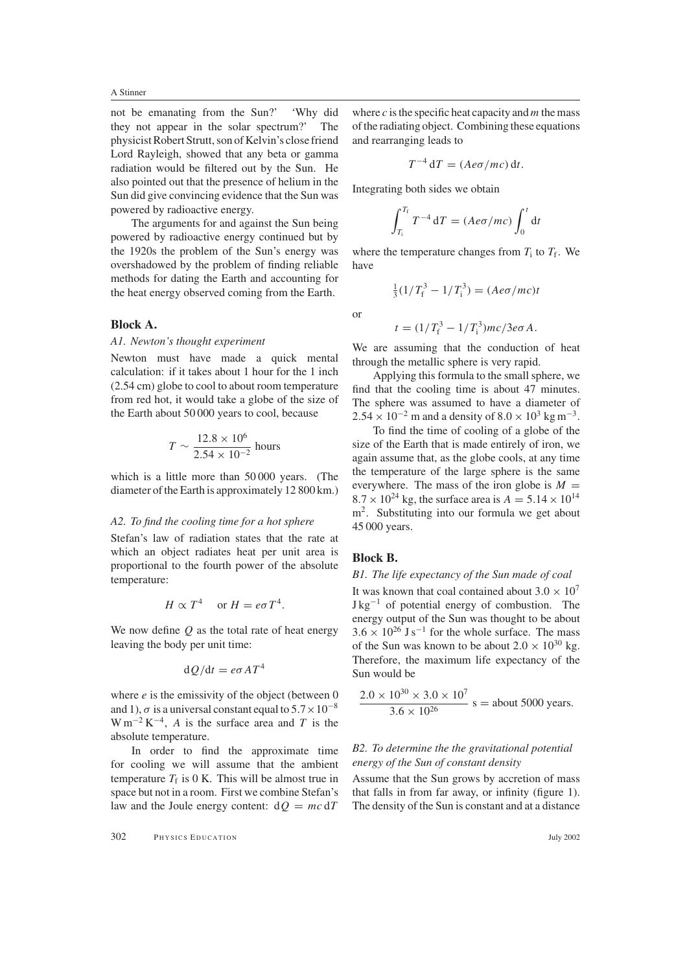## A Stinner

not be emanating from the Sun?' 'Why did they not appear in the solar spectrum?' The physicist Robert Strutt, son of Kelvin's close friend Lord Rayleigh, showed that any beta or gamma radiation would be filtered out by the Sun. He also pointed out that the presence of helium in the Sun did give convincing evidence that the Sun was powered by radioactive energy.

The arguments for and against the Sun being powered by radioactive energy continued but by the 1920s the problem of the Sun's energy was overshadowed by the problem of finding reliable methods for dating the Earth and accounting for the heat energy observed coming from the Earth.

# **Block A.**

## *A1. Newton's thought experiment*

Newton must have made a quick mental calculation: if it takes about 1 hour for the 1 inch (2.54 cm) globe to cool to about room temperature from red hot, it would take a globe of the size of the Earth about 50 000 years to cool, because

$$
T \sim \frac{12.8 \times 10^6}{2.54 \times 10^{-2}}
$$
 hours

which is a little more than 50 000 years. (The diameter of the Earth is approximately 12 800 km.)

#### *A2. To find the cooling time for a hot sphere*

Stefan's law of radiation states that the rate at which an object radiates heat per unit area is proportional to the fourth power of the absolute temperature:

$$
H \propto T^4 \quad \text{or } H = e\sigma T^4.
$$

We now define *Q* as the total rate of heat energy leaving the body per unit time:

$$
dQ/dt = e\sigma A T^4
$$

where *e* is the emissivity of the object (between 0 and 1),  $\sigma$  is a universal constant equal to  $5.7 \times 10^{-8}$  $W m^{-2} K^{-4}$ , *A* is the surface area and *T* is the absolute temperature.

In order to find the approximate time for cooling we will assume that the ambient temperature  $T_f$  is 0 K. This will be almost true in space but not in a room. First we combine Stefan's law and the Joule energy content:  $dQ = mc dT$  where  $c$  is the specific heat capacity and  $m$  the mass of the radiating object. Combining these equations and rearranging leads to

$$
T^{-4} dT = (Ae\sigma/mc) dt.
$$

Integrating both sides we obtain

$$
\int_{T_{\rm i}}^{T_{\rm f}} T^{-4} \, \mathrm{d}T = (Ae\sigma/mc) \int_0^t \mathrm{d}t
$$

where the temperature changes from  $T_i$  to  $T_f$ . We have

$$
\frac{1}{3}(1/T_{\rm f}^3 - 1/T_{\rm i}^3) = (Ae\sigma/mc)t
$$

or

$$
t = (1/T_{\rm f}^3 - 1/T_{\rm i}^3)mc/3e\sigma A.
$$

We are assuming that the conduction of heat through the metallic sphere is very rapid.

Applying this formula to the small sphere, we find that the cooling time is about 47 minutes. The sphere was assumed to have a diameter of  $2.54 \times 10^{-2}$  m and a density of  $8.0 \times 10^{3}$  kg m<sup>-3</sup>.

To find the time of cooling of a globe of the size of the Earth that is made entirely of iron, we again assume that, as the globe cools, at any time the temperature of the large sphere is the same everywhere. The mass of the iron globe is  $M =$  $8.7 \times 10^{24}$  kg, the surface area is  $A = 5.14 \times 10^{14}$ m<sup>2</sup>. Substituting into our formula we get about 45 000 years.

## **Block B.**

#### *B1. The life expectancy of the Sun made of coal*

It was known that coal contained about  $3.0 \times 10^7$ J kg−<sup>1</sup> of potential energy of combustion. The energy output of the Sun was thought to be about  $3.6 \times 10^{26}$  J s<sup>-1</sup> for the whole surface. The mass of the Sun was known to be about  $2.0 \times 10^{30}$  kg. Therefore, the maximum life expectancy of the Sun would be

$$
\frac{2.0 \times 10^{30} \times 3.0 \times 10^7}{3.6 \times 10^{26}}
$$
 s = about 5000 years.

# *B2. To determine the the gravitational potential energy of the Sun of constant density*

Assume that the Sun grows by accretion of mass that falls in from far away, or infinity (figure 1). The density of the Sun is constant and at a distance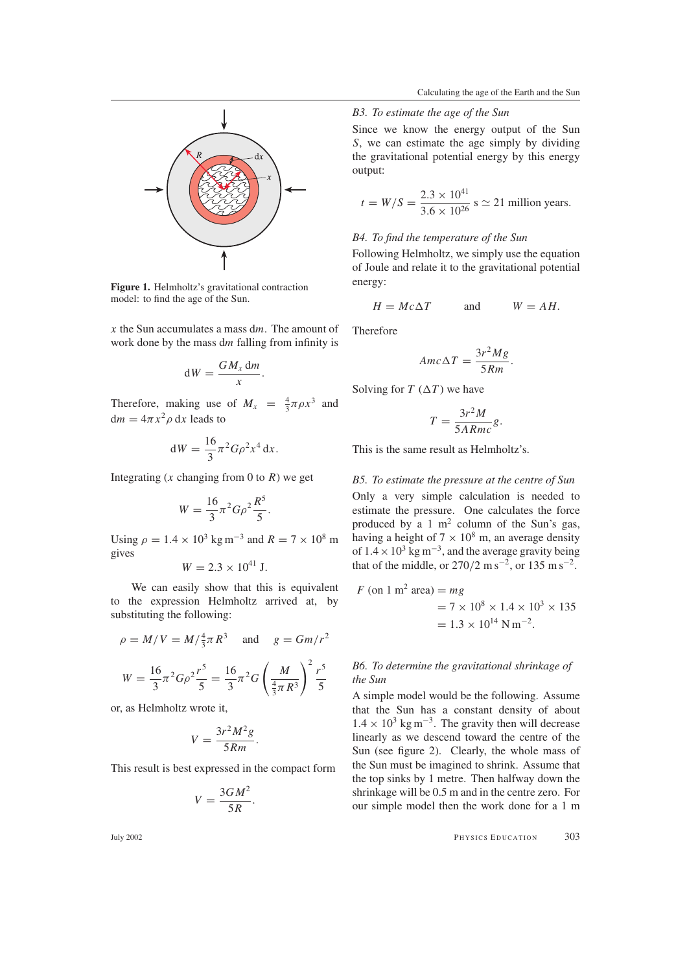

**Figure 1.** Helmholtz's gravitational contraction model: to find the age of the Sun.

*x* the Sun accumulates a mass d*m*. The amount of work done by the mass d*m* falling from infinity is

$$
dW = \frac{GM_x dm}{x}.
$$

Therefore, making use of  $M_x = \frac{4}{3}\pi \rho x^3$  and  $dm = 4\pi x^2 \rho dx$  leads to

$$
dW = \frac{16}{3}\pi^2 G\rho^2 x^4 dx.
$$

Integrating  $(x \text{ changing from } 0 \text{ to } R)$  we get

$$
W = \frac{16}{3}\pi^2 G\rho^2 \frac{R^5}{5}.
$$

Using  $\rho = 1.4 \times 10^3 \text{ kg m}^{-3}$  and  $R = 7 \times 10^8 \text{ m}$ gives

$$
W = 2.3 \times 10^{41} \text{ J}.
$$

We can easily show that this is equivalent to the expression Helmholtz arrived at, by substituting the following:

$$
\rho = M/V = M/\frac{4}{3}\pi R^3 \quad \text{and} \quad g = Gm/r^2
$$

$$
W = \frac{16}{3}\pi^2 G\rho^2 \frac{r^5}{5} = \frac{16}{3}\pi^2 G \left(\frac{M}{\frac{4}{3}\pi R^3}\right)^2 \frac{r^5}{5}
$$

or, as Helmholtz wrote it,

$$
V = \frac{3r^2M^2g}{5Rm}.
$$

This result is best expressed in the compact form

$$
V = \frac{3GM^2}{5R}.
$$

#### *B3. To estimate the age of the Sun*

Since we know the energy output of the Sun *S*, we can estimate the age simply by dividing the gravitational potential energy by this energy output:

$$
t = W/S = \frac{2.3 \times 10^{41}}{3.6 \times 10^{26}}
$$
 s  $\simeq$  21 million years.

#### *B4. To find the temperature of the Sun*

Following Helmholtz, we simply use the equation of Joule and relate it to the gravitational potential energy:

$$
H = Mc\Delta T \qquad \text{and} \qquad W = AH.
$$

Therefore

$$
Amc\Delta T = \frac{3r^2 Mg}{5Rm}.
$$

Solving for  $T(\Delta T)$  we have

$$
T = \frac{3r^2M}{5ARMc}g.
$$

This is the same result as Helmholtz's.

*B5. To estimate the pressure at the centre of Sun* Only a very simple calculation is needed to estimate the pressure. One calculates the force produced by a 1  $m^2$  column of the Sun's gas, having a height of  $7 \times 10^8$  m, an average density of  $1.4 \times 10^3$  kg m<sup>-3</sup>, and the average gravity being that of the middle, or  $270/2$  m s<sup>-2</sup>, or  $135$  m s<sup>-2</sup>.

$$
F \text{ (on 1 m}^2 \text{ area)} = mg
$$
  
= 7 × 10<sup>8</sup> × 1.4 × 10<sup>3</sup> × 135  
= 1.3 × 10<sup>14</sup> N m<sup>-2</sup>.

# *B6. To determine the gravitational shrinkage of the Sun*

A simple model would be the following. Assume that the Sun has a constant density of about  $1.4 \times 10^3$  kg m<sup>-3</sup>. The gravity then will decrease linearly as we descend toward the centre of the Sun (see figure 2). Clearly, the whole mass of the Sun must be imagined to shrink. Assume that the top sinks by 1 metre. Then halfway down the shrinkage will be 0.5 m and in the centre zero. For our simple model then the work done for a 1 m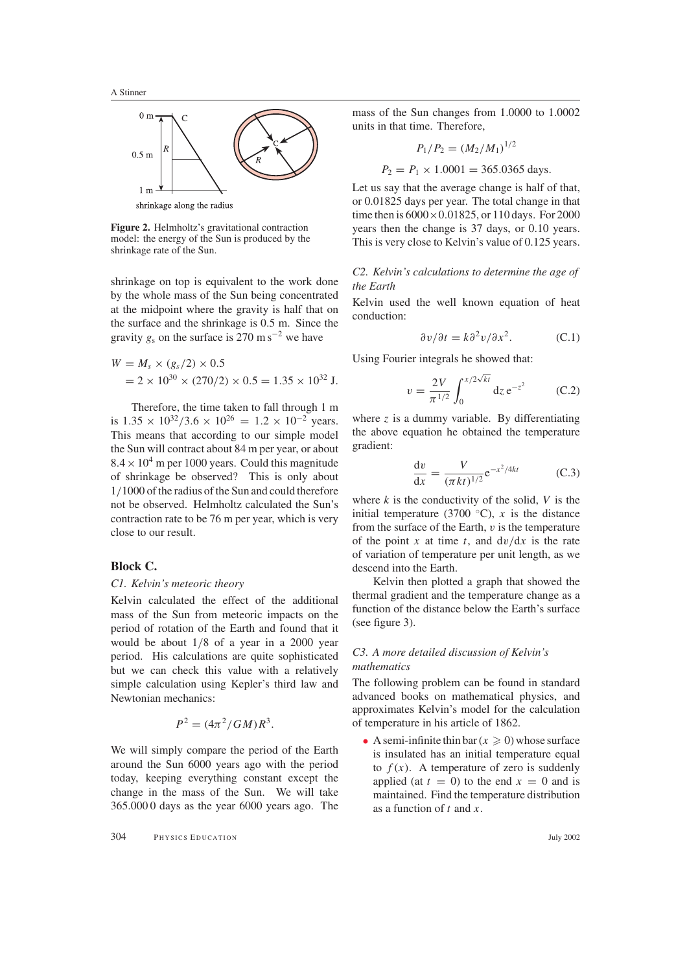

**Figure 2.** Helmholtz's gravitational contraction model: the energy of the Sun is produced by the shrinkage rate of the Sun.

shrinkage on top is equivalent to the work done by the whole mass of the Sun being concentrated at the midpoint where the gravity is half that on the surface and the shrinkage is 0.5 m. Since the gravity  $g_s$  on the surface is 270 m s<sup>-2</sup> we have

$$
W = M_s \times (g_s/2) \times 0.5
$$
  
= 2 × 10<sup>30</sup> × (270/2) × 0.5 = 1.35 × 10<sup>32</sup> J.

Therefore, the time taken to fall through 1 m is  $1.35 \times 10^{32}/3.6 \times 10^{26} = 1.2 \times 10^{-2}$  years. This means that according to our simple model the Sun will contract about 84 m per year, or about  $8.4 \times 10^4$  m per 1000 years. Could this magnitude of shrinkage be observed? This is only about 1*/*1000 of the radius of the Sun and could therefore not be observed. Helmholtz calculated the Sun's contraction rate to be 76 m per year, which is very close to our result.

# **Block C.**

#### *C1. Kelvin's meteoric theory*

Kelvin calculated the effect of the additional mass of the Sun from meteoric impacts on the period of rotation of the Earth and found that it would be about 1*/*8 of a year in a 2000 year period. His calculations are quite sophisticated but we can check this value with a relatively simple calculation using Kepler's third law and Newtonian mechanics:

$$
P^2 = (4\pi^2/GM)R^3.
$$

We will simply compare the period of the Earth around the Sun 6000 years ago with the period today, keeping everything constant except the change in the mass of the Sun. We will take 365.000 0 days as the year 6000 years ago. The mass of the Sun changes from 1.0000 to 1.0002 units in that time. Therefore,

$$
P_1/P_2 = (M_2/M_1)^{1/2}
$$

 $P_2 = P_1 \times 1.0001 = 365.0365$  days.

Let us say that the average change is half of that, or 0.01825 days per year. The total change in that time then is  $6000 \times 0.01825$ , or 110 days. For 2000 years then the change is 37 days, or 0.10 years. This is very close to Kelvin's value of 0.125 years.

## *C2. Kelvin's calculations to determine the age of the Earth*

Kelvin used the well known equation of heat conduction:

$$
\frac{\partial v}{\partial t} = k \frac{\partial^2 v}{\partial x^2}.
$$
 (C.1)

Using Fourier integrals he showed that:

$$
v = \frac{2V}{\pi^{1/2}} \int_0^{x/2\sqrt{kt}} dz e^{-z^2}
$$
 (C.2)

where  $z$  is a dummy variable. By differentiating the above equation he obtained the temperature gradient:

$$
\frac{dv}{dx} = \frac{V}{(\pi kt)^{1/2}} e^{-x^2/4kt}
$$
 (C.3)

where  $k$  is the conductivity of the solid,  $V$  is the initial temperature (3700  $°C$ ), *x* is the distance from the surface of the Earth, *v* is the temperature of the point *x* at time *t*, and  $dv/dx$  is the rate of variation of temperature per unit length, as we descend into the Earth.

Kelvin then plotted a graph that showed the thermal gradient and the temperature change as a function of the distance below the Earth's surface (see figure 3).

## *C3. A more detailed discussion of Kelvin's mathematics*

The following problem can be found in standard advanced books on mathematical physics, and approximates Kelvin's model for the calculation of temperature in his article of 1862.

• A semi-infinite thin bar  $(x \ge 0)$  whose surface is insulated has an initial temperature equal to  $f(x)$ . A temperature of zero is suddenly applied (at  $t = 0$ ) to the end  $x = 0$  and is maintained. Find the temperature distribution as a function of *t* and *x*.